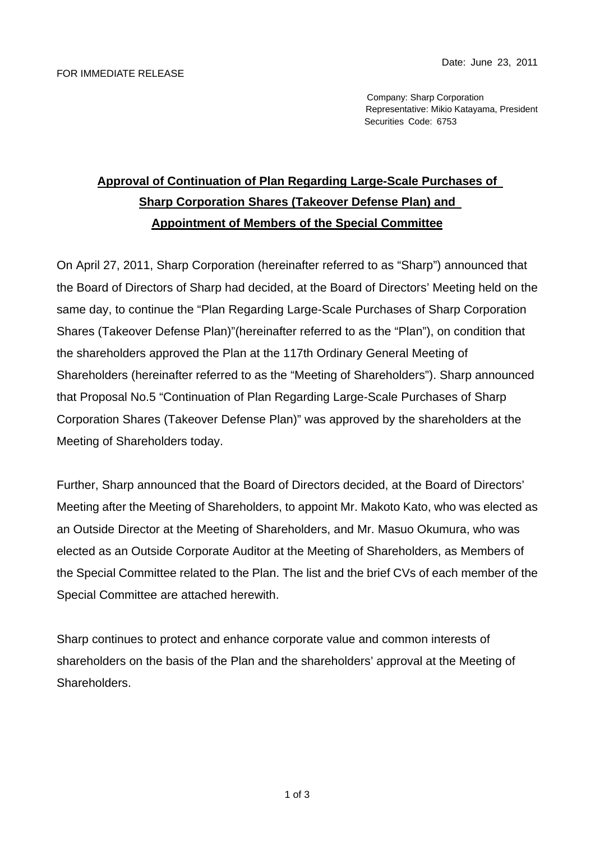Company: Sharp Corporation Representative: Mikio Katayama, President Securities Code: 6753

## **Approval of Continuation of Plan Regarding Large-Scale Purchases of Sharp Corporation Shares (Takeover Defense Plan) and Appointment of Members of the Special Committee**

On April 27, 2011, Sharp Corporation (hereinafter referred to as "Sharp") announced that the Board of Directors of Sharp had decided, at the Board of Directors' Meeting held on the same day, to continue the "Plan Regarding Large-Scale Purchases of Sharp Corporation Shares (Takeover Defense Plan)"(hereinafter referred to as the "Plan"), on condition that the shareholders approved the Plan at the 117th Ordinary General Meeting of Shareholders (hereinafter referred to as the "Meeting of Shareholders"). Sharp announced that Proposal No.5 "Continuation of Plan Regarding Large-Scale Purchases of Sharp Corporation Shares (Takeover Defense Plan)" was approved by the shareholders at the Meeting of Shareholders today.

Further, Sharp announced that the Board of Directors decided, at the Board of Directors' Meeting after the Meeting of Shareholders, to appoint Mr. Makoto Kato, who was elected as an Outside Director at the Meeting of Shareholders, and Mr. Masuo Okumura, who was elected as an Outside Corporate Auditor at the Meeting of Shareholders, as Members of the Special Committee related to the Plan. The list and the brief CVs of each member of the Special Committee are attached herewith.

Sharp continues to protect and enhance corporate value and common interests of shareholders on the basis of the Plan and the shareholders' approval at the Meeting of Shareholders.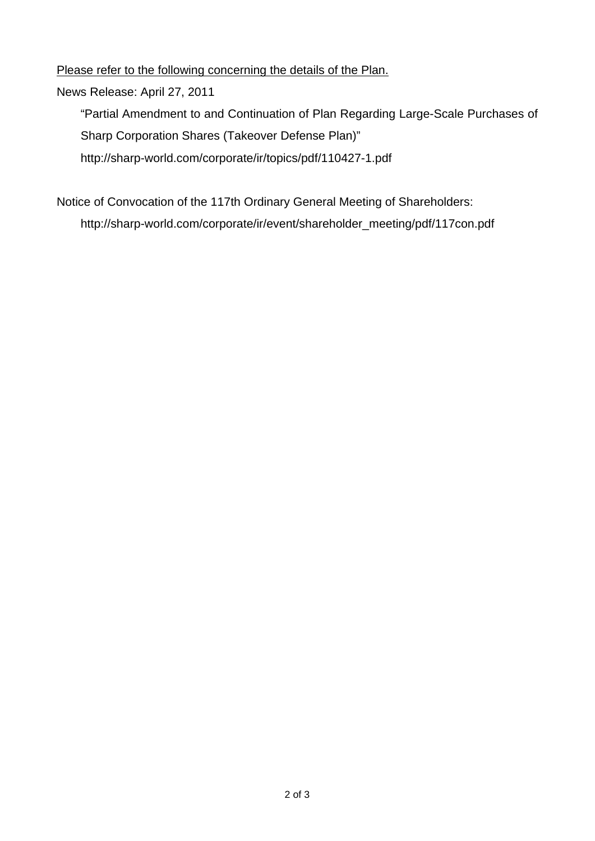Please refer to the following concerning the details of the Plan.

News Release: April 27, 2011

"Partial Amendment to and Continuation of Plan Regarding Large-Scale Purchases of Sharp Corporation Shares (Takeover Defense Plan)" http://sharp-world.com/corporate/ir/topics/pdf/110427-1.pdf

Notice of Convocation of the 117th Ordinary General Meeting of Shareholders: http://sharp-world.com/corporate/ir/event/shareholder\_meeting/pdf/117con.pdf